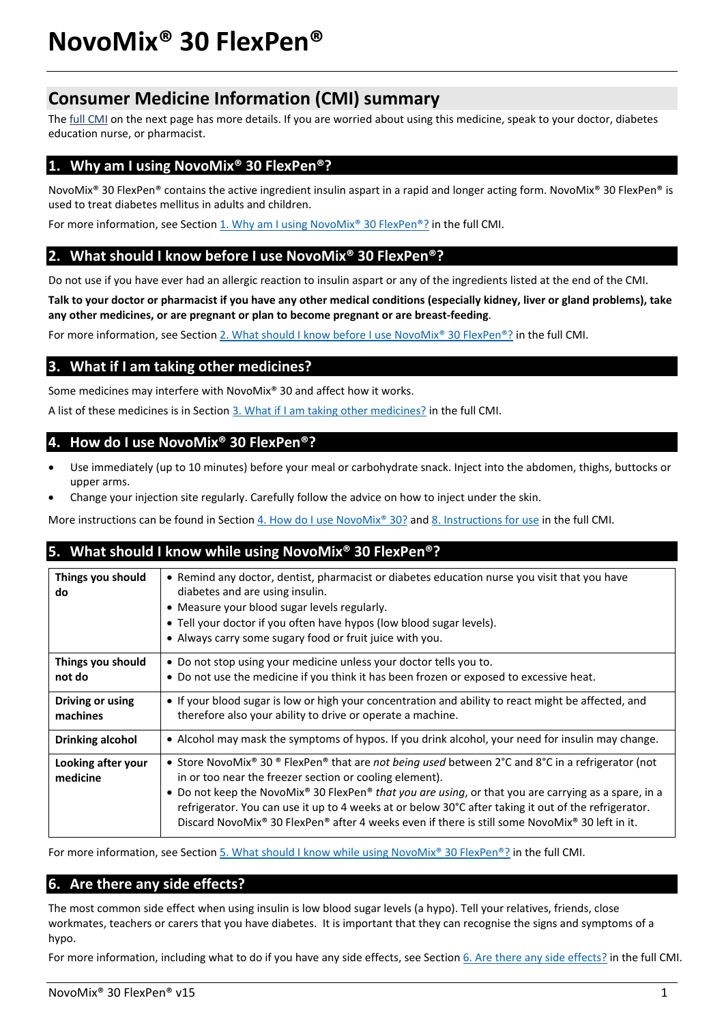# **Consumer Medicine Information (CMI) summary**

The [full CMI](#page-1-0) on the next page has more details. If you are worried about using this medicine, speak to your doctor, diabetes education nurse, or pharmacist.

# **1. Why am I using NovoMix® 30 FlexPen®?**

NovoMix® 30 FlexPen® contains the active ingredient insulin aspart in a rapid and longer acting form. NovoMix® 30 FlexPen® is used to treat diabetes mellitus in adults and children.

For more information, see Section 1. Why am I using NovoMix® 30 FlexPen®? in the full CMI.

# **2. What should I know before I use NovoMix® 30 FlexPen®?**

Do not use if you have ever had an allergic reaction to insulin aspart or any of the ingredients listed at the end of the CMI.

**Talk to your doctor or pharmacist if you have any other medical conditions (especially kidney, liver or gland problems), take any other medicines, or are pregnant or plan to become pregnant or are breast-feeding**.

For more information, see Section 2. What should I know before I use NovoMix<sup>®</sup> 30 FlexPen<sup>®</sup>? in the full CMI.

# **3. What if I am taking other medicines?**

Some medicines may interfere with NovoMix® 30 and affect how it works.

A list of these medicines is in Section [3. What if I am taking other medicines?](#page-2-0) in the full CMI.

# **4. How do I use NovoMix® 30 FlexPen®?**

- Use immediately (up to 10 minutes) before your meal or carbohydrate snack. Inject into the abdomen, thighs, buttocks or upper arms.
- Change your injection site regularly. Carefully follow the advice on how to inject under the skin.

More instructions can be found in Section [4. How do I use NovoMix® 30?](#page-2-1) and [8. Instructions for use](#page-7-0) in the full CMI.

# **5. What should I know while using NovoMix® 30 FlexPen®?**

| Things you should<br>do        | • Remind any doctor, dentist, pharmacist or diabetes education nurse you visit that you have<br>diabetes and are using insulin.<br>• Measure your blood sugar levels regularly.<br>• Tell your doctor if you often have hypos (low blood sugar levels).<br>• Always carry some sugary food or fruit juice with you.                                                                                                                                                            |
|--------------------------------|--------------------------------------------------------------------------------------------------------------------------------------------------------------------------------------------------------------------------------------------------------------------------------------------------------------------------------------------------------------------------------------------------------------------------------------------------------------------------------|
| Things you should<br>not do    | • Do not stop using your medicine unless your doctor tells you to.<br>• Do not use the medicine if you think it has been frozen or exposed to excessive heat.                                                                                                                                                                                                                                                                                                                  |
| Driving or using<br>machines   | • If your blood sugar is low or high your concentration and ability to react might be affected, and<br>therefore also your ability to drive or operate a machine.                                                                                                                                                                                                                                                                                                              |
| <b>Drinking alcohol</b>        | • Alcohol may mask the symptoms of hypos. If you drink alcohol, your need for insulin may change.                                                                                                                                                                                                                                                                                                                                                                              |
| Looking after your<br>medicine | • Store NovoMix® 30 ® FlexPen® that are not being used between 2°C and 8°C in a refrigerator (not<br>in or too near the freezer section or cooling element).<br>• Do not keep the NovoMix® 30 FlexPen® that you are using, or that you are carrying as a spare, in a<br>refrigerator. You can use it up to 4 weeks at or below 30°C after taking it out of the refrigerator.<br>Discard NovoMix® 30 FlexPen® after 4 weeks even if there is still some NovoMix® 30 left in it. |

For more information, see Section [5. What should I know while using NovoMix® 30 FlexPen®?](#page-4-0) in the full CMI.

# **6. Are there any side effects?**

The most common side effect when using insulin is low blood sugar levels (a hypo). Tell your relatives, friends, close workmates, teachers or carers that you have diabetes. It is important that they can recognise the signs and symptoms of a hypo.

For more information, including what to do if you have any side effects, see Section [6. Are there any side effects?](#page-5-0) in the full CMI.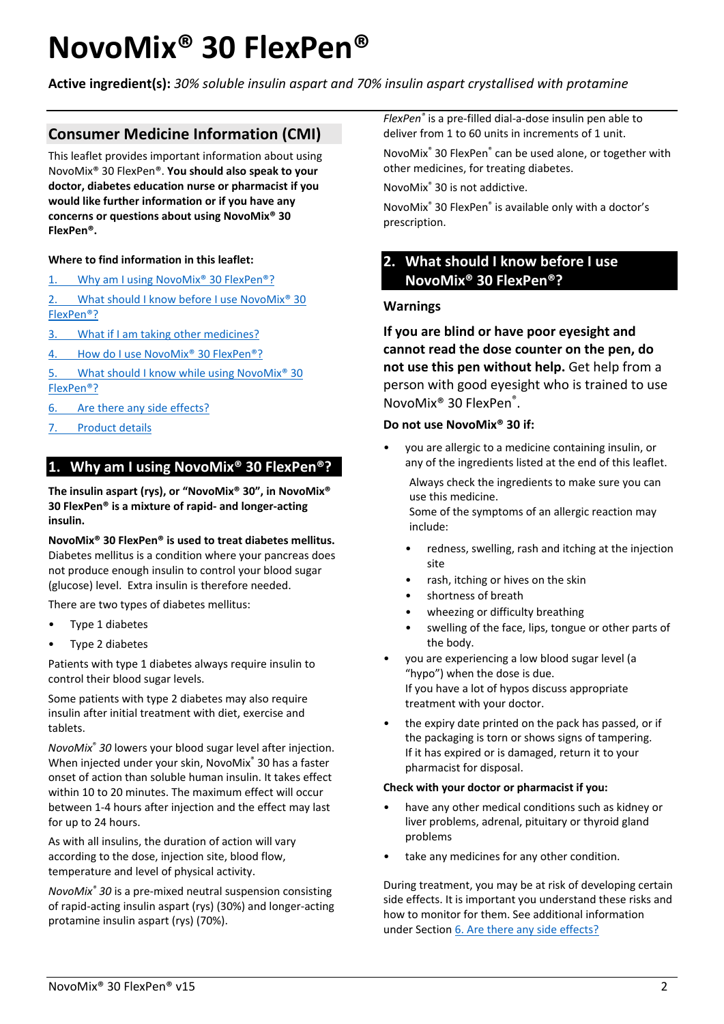# <span id="page-1-0"></span>**NovoMix® 30 FlexPen®**

**Active ingredient(s):** *30% soluble insulin aspart and 70% insulin aspart crystallised with protamine*

# **Consumer Medicine Information (CMI)**

This leaflet provides important information about using NovoMix® 30 FlexPen®. **You should also speak to your doctor, diabetes education nurse or pharmacist if you would like further information or if you have any concerns or questions about using NovoMix® 30 FlexPen®.**

## **Where to find information in this leaflet:**

- 1. Why am I using NovoMix<sup>®</sup> 30 FlexPen<sup>®</sup>?
- 2. What should I know before I use NovoMix<sup>®</sup> 30 [FlexPen®?](#page-1-1)
- 3. [What if I am taking other medicines?](#page-2-0)
- 4. How do I use NovoMix<sup>®</sup> 30 FlexPen<sup>®</sup>?
- 5. What should I know while using NovoMix<sup>®</sup> 30 [FlexPen®?](#page-4-0)
- 6. [Are there any side effects?](#page-5-0)
- 7. [Product details](#page-6-0)

# <span id="page-1-2"></span>**1. Why am I using NovoMix® 30 FlexPen®?**

**The insulin aspart (rys), or "NovoMix® 30", in NovoMix® 30 FlexPen® is a mixture of rapid- and longer-acting insulin.**

**NovoMix® 30 FlexPen® is used to treat diabetes mellitus.** Diabetes mellitus is a condition where your pancreas does not produce enough insulin to control your blood sugar (glucose) level. Extra insulin is therefore needed.

There are two types of diabetes mellitus:

- Type 1 diabetes
- Type 2 diabetes

Patients with type 1 diabetes always require insulin to control their blood sugar levels.

Some patients with type 2 diabetes may also require insulin after initial treatment with diet, exercise and tablets.

*NovoMix*® *30* lowers your blood sugar level after injection. When injected under your skin, NovoMix® 30 has a faster onset of action than soluble human insulin. It takes effect within 10 to 20 minutes. The maximum effect will occur between 1-4 hours after injection and the effect may last for up to 24 hours.

As with all insulins, the duration of action will vary according to the dose, injection site, blood flow, temperature and level of physical activity.

*NovoMix® 30* is a pre-mixed neutral suspension consisting of rapid-acting insulin aspart (rys) (30%) and longer-acting protamine insulin aspart (rys) (70%).

*FlexPen®* is a pre-filled dial-a-dose insulin pen able to deliver from 1 to 60 units in increments of 1 unit.

NovoMix® 30 FlexPen® can be used alone, or together with other medicines, for treating diabetes.

NovoMix® 30 is not addictive.

NovoMix® 30 FlexPen® is available only with a doctor's prescription.

# <span id="page-1-1"></span>**2. What should I know before I use NovoMix® 30 FlexPen®?**

## **Warnings**

**If you are blind or have poor eyesight and cannot read the dose counter on the pen, do not use this pen without help.** Get help from a person with good eyesight who is trained to use NovoMix® 30 FlexPen®.

## **Do not use NovoMix® 30 if:**

• you are allergic to a medicine containing insulin, or any of the ingredients listed at the end of this leaflet.

Always check the ingredients to make sure you can use this medicine.

Some of the symptoms of an allergic reaction may include:

- redness, swelling, rash and itching at the injection site
- rash, itching or hives on the skin
- shortness of breath
- wheezing or difficulty breathing
- swelling of the face, lips, tongue or other parts of the body.
- you are experiencing a low blood sugar level (a "hypo") when the dose is due. If you have a lot of hypos discuss appropriate treatment with your doctor.
- the expiry date printed on the pack has passed, or if the packaging is torn or shows signs of tampering. If it has expired or is damaged, return it to your pharmacist for disposal.

## **Check with your doctor or pharmacist if you:**

- have any other medical conditions such as kidney or liver problems, adrenal, pituitary or thyroid gland problems
- take any medicines for any other condition.

During treatment, you may be at risk of developing certain side effects. It is important you understand these risks and how to monitor for them. See additional information under Section [6. Are there any side effects?](#page-5-0)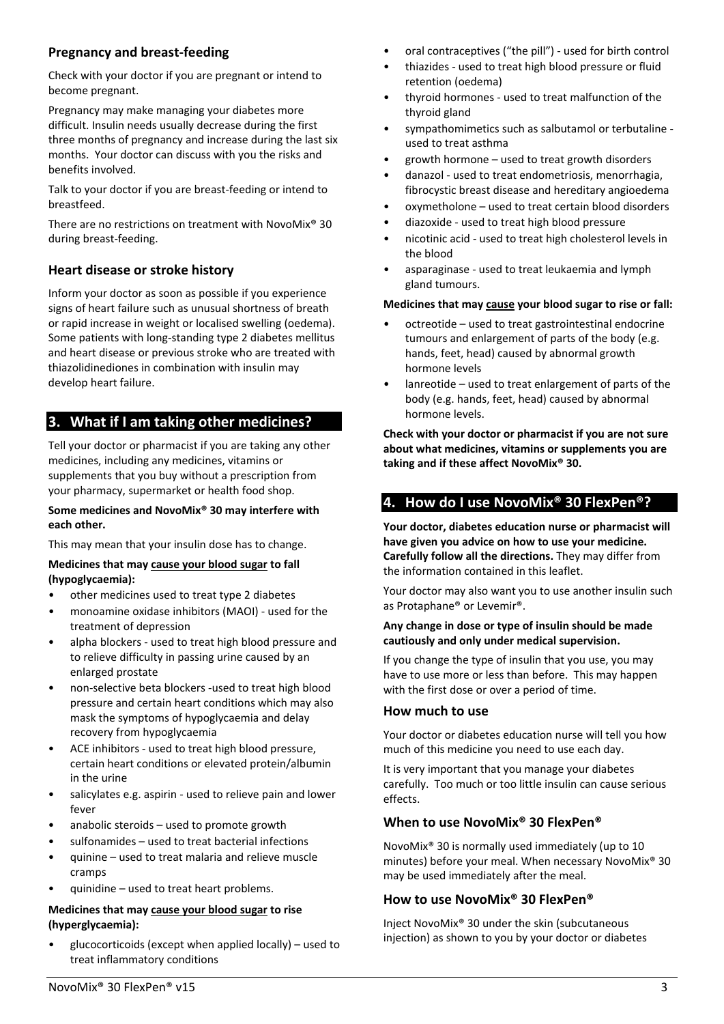# **Pregnancy and breast-feeding**

Check with your doctor if you are pregnant or intend to become pregnant.

Pregnancy may make managing your diabetes more difficult. Insulin needs usually decrease during the first three months of pregnancy and increase during the last six months. Your doctor can discuss with you the risks and benefits involved.

Talk to your doctor if you are breast-feeding or intend to breastfeed.

There are no restrictions on treatment with NovoMix® 30 during breast-feeding.

# **Heart disease or stroke history**

Inform your doctor as soon as possible if you experience signs of heart failure such as unusual shortness of breath or rapid increase in weight or localised swelling (oedema). Some patients with long-standing type 2 diabetes mellitus and heart disease or previous stroke who are treated with thiazolidinediones in combination with insulin may develop heart failure.

# <span id="page-2-0"></span>**3. What if I am taking other medicines?**

Tell your doctor or pharmacist if you are taking any other medicines, including any medicines, vitamins or supplements that you buy without a prescription from your pharmacy, supermarket or health food shop.

#### **Some medicines and NovoMix® 30 may interfere with each other.**

This may mean that your insulin dose has to change.

#### **Medicines that may cause your blood sugar to fall (hypoglycaemia):**

- other medicines used to treat type 2 diabetes
- monoamine oxidase inhibitors (MAOI) used for the treatment of depression
- alpha blockers used to treat high blood pressure and to relieve difficulty in passing urine caused by an enlarged prostate
- non-selective beta blockers -used to treat high blood pressure and certain heart conditions which may also mask the symptoms of hypoglycaemia and delay recovery from hypoglycaemia
- ACE inhibitors used to treat high blood pressure, certain heart conditions or elevated protein/albumin in the urine
- salicylates e.g. aspirin used to relieve pain and lower fever
- anabolic steroids used to promote growth
- sulfonamides used to treat bacterial infections
- quinine used to treat malaria and relieve muscle cramps
- quinidine used to treat heart problems.

## **Medicines that may cause your blood sugar to rise (hyperglycaemia):**

• glucocorticoids (except when applied locally) – used to treat inflammatory conditions

- oral contraceptives ("the pill") used for birth control
- thiazides used to treat high blood pressure or fluid retention (oedema)
- thyroid hormones used to treat malfunction of the thyroid gland
- sympathomimetics such as salbutamol or terbutaline used to treat asthma
- growth hormone used to treat growth disorders
- danazol used to treat endometriosis, menorrhagia, fibrocystic breast disease and hereditary angioedema
- oxymetholone used to treat certain blood disorders
- diazoxide used to treat high blood pressure
- nicotinic acid used to treat high cholesterol levels in the blood
- asparaginase used to treat leukaemia and lymph gland tumours.

#### **Medicines that may cause your blood sugar to rise or fall:**

- octreotide used to treat gastrointestinal endocrine tumours and enlargement of parts of the body (e.g. hands, feet, head) caused by abnormal growth hormone levels
- lanreotide used to treat enlargement of parts of the body (e.g. hands, feet, head) caused by abnormal hormone levels.

**Check with your doctor or pharmacist if you are not sure about what medicines, vitamins or supplements you are taking and if these affect NovoMix® 30.**

# <span id="page-2-1"></span>**4. How do I use NovoMix® 30 FlexPen®?**

**Your doctor, diabetes education nurse or pharmacist will have given you advice on how to use your medicine. Carefully follow all the directions.** They may differ from the information contained in this leaflet.

Your doctor may also want you to use another insulin such as Protaphane® or Levemir®.

#### **Any change in dose or type of insulin should be made cautiously and only under medical supervision.**

If you change the type of insulin that you use, you may have to use more or less than before. This may happen with the first dose or over a period of time.

## **How much to use**

Your doctor or diabetes education nurse will tell you how much of this medicine you need to use each day.

It is very important that you manage your diabetes carefully. Too much or too little insulin can cause serious effects.

## **When to use NovoMix® 30 FlexPen®**

NovoMix® 30 is normally used immediately (up to 10 minutes) before your meal. When necessary NovoMix® 30 may be used immediately after the meal.

# **How to use NovoMix® 30 FlexPen®**

Inject NovoMix® 30 under the skin (subcutaneous injection) as shown to you by your doctor or diabetes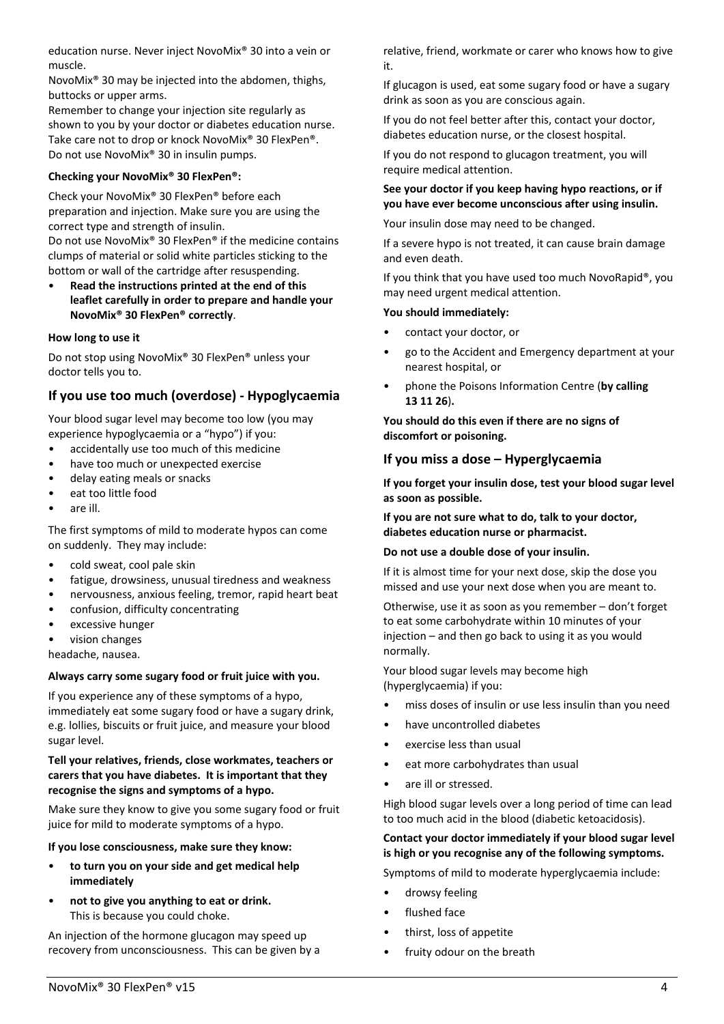education nurse. Never inject NovoMix® 30 into a vein or muscle.

NovoMix® 30 may be injected into the abdomen, thighs, buttocks or upper arms.

Remember to change your injection site regularly as shown to you by your doctor or diabetes education nurse. Take care not to drop or knock NovoMix® 30 FlexPen®. Do not use NovoMix® 30 in insulin pumps.

## **Checking your NovoMix® 30 FlexPen®:**

Check your NovoMix® 30 FlexPen® before each preparation and injection. Make sure you are using the correct type and strength of insulin.

Do not use NovoMix® 30 FlexPen® if the medicine contains clumps of material or solid white particles sticking to the bottom or wall of the cartridge after resuspending.

• **Read the instructions printed at the end of this leaflet carefully in order to prepare and handle your NovoMix® 30 FlexPen® correctly**.

## **How long to use it**

Do not stop using NovoMix® 30 FlexPen® unless your doctor tells you to.

# **If you use too much (overdose) - Hypoglycaemia**

Your blood sugar level may become too low (you may experience hypoglycaemia or a "hypo") if you:

- accidentally use too much of this medicine
- have too much or unexpected exercise
- delay eating meals or snacks
- eat too little food
- are ill.

The first symptoms of mild to moderate hypos can come on suddenly. They may include:

- cold sweat, cool pale skin
- fatigue, drowsiness, unusual tiredness and weakness
- nervousness, anxious feeling, tremor, rapid heart beat
- confusion, difficulty concentrating
- excessive hunger

• vision changes

headache, nausea.

## **Always carry some sugary food or fruit juice with you.**

If you experience any of these symptoms of a hypo, immediately eat some sugary food or have a sugary drink, e.g. lollies, biscuits or fruit juice, and measure your blood sugar level.

#### **Tell your relatives, friends, close workmates, teachers or carers that you have diabetes. It is important that they recognise the signs and symptoms of a hypo.**

Make sure they know to give you some sugary food or fruit juice for mild to moderate symptoms of a hypo.

**If you lose consciousness, make sure they know:**

- **to turn you on your side and get medical help immediately**
- **not to give you anything to eat or drink.** This is because you could choke.

An injection of the hormone glucagon may speed up recovery from unconsciousness. This can be given by a

relative, friend, workmate or carer who knows how to give it.

If glucagon is used, eat some sugary food or have a sugary drink as soon as you are conscious again.

If you do not feel better after this, contact your doctor, diabetes education nurse, or the closest hospital.

If you do not respond to glucagon treatment, you will require medical attention.

## **See your doctor if you keep having hypo reactions, or if you have ever become unconscious after using insulin.**

Your insulin dose may need to be changed.

If a severe hypo is not treated, it can cause brain damage and even death.

If you think that you have used too much NovoRapid®, you may need urgent medical attention.

#### **You should immediately:**

- contact your doctor, or
- go to the Accident and Emergency department at your nearest hospital, or
- phone the Poisons Information Centre (**by calling 13 11 26**)**.**

**You should do this even if there are no signs of discomfort or poisoning.** 

## **If you miss a dose – Hyperglycaemia**

**If you forget your insulin dose, test your blood sugar level as soon as possible.**

**If you are not sure what to do, talk to your doctor, diabetes education nurse or pharmacist.**

## **Do not use a double dose of your insulin.**

If it is almost time for your next dose, skip the dose you missed and use your next dose when you are meant to.

Otherwise, use it as soon as you remember – don't forget to eat some carbohydrate within 10 minutes of your injection – and then go back to using it as you would normally.

Your blood sugar levels may become high (hyperglycaemia) if you:

- miss doses of insulin or use less insulin than you need
- have uncontrolled diabetes
- exercise less than usual
- eat more carbohydrates than usual
- are ill or stressed.

High blood sugar levels over a long period of time can lead to too much acid in the blood (diabetic ketoacidosis).

## **Contact your doctor immediately if your blood sugar level is high or you recognise any of the following symptoms.**

Symptoms of mild to moderate hyperglycaemia include:

- drowsy feeling
- flushed face
- thirst, loss of appetite
- fruity odour on the breath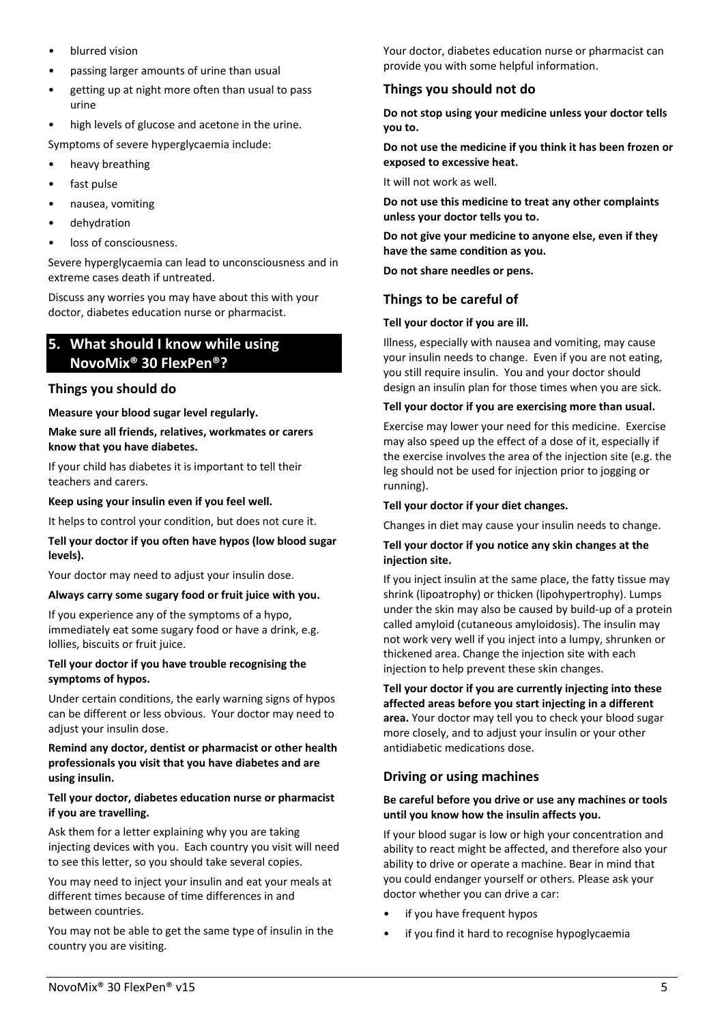- blurred vision
- passing larger amounts of urine than usual
- getting up at night more often than usual to pass urine
- high levels of glucose and acetone in the urine.
- Symptoms of severe hyperglycaemia include:
- heavy breathing
- fast pulse
- nausea, vomiting
- dehydration
- loss of consciousness.

Severe hyperglycaemia can lead to unconsciousness and in extreme cases death if untreated.

Discuss any worries you may have about this with your doctor, diabetes education nurse or pharmacist.

# <span id="page-4-0"></span>**5. What should I know while using NovoMix® 30 FlexPen®?**

# **Things you should do**

**Measure your blood sugar level regularly.**

#### **Make sure all friends, relatives, workmates or carers know that you have diabetes.**

If your child has diabetes it is important to tell their teachers and carers.

#### **Keep using your insulin even if you feel well.**

It helps to control your condition, but does not cure it.

## **Tell your doctor if you often have hypos (low blood sugar levels).**

Your doctor may need to adjust your insulin dose.

## **Always carry some sugary food or fruit juice with you.**

If you experience any of the symptoms of a hypo, immediately eat some sugary food or have a drink, e.g. lollies, biscuits or fruit juice.

#### **Tell your doctor if you have trouble recognising the symptoms of hypos.**

Under certain conditions, the early warning signs of hypos can be different or less obvious. Your doctor may need to adiust your insulin dose.

#### **Remind any doctor, dentist or pharmacist or other health professionals you visit that you have diabetes and are using insulin.**

#### **Tell your doctor, diabetes education nurse or pharmacist if you are travelling.**

Ask them for a letter explaining why you are taking injecting devices with you. Each country you visit will need to see this letter, so you should take several copies.

You may need to inject your insulin and eat your meals at different times because of time differences in and between countries.

You may not be able to get the same type of insulin in the country you are visiting.

Your doctor, diabetes education nurse or pharmacist can provide you with some helpful information.

# **Things you should not do**

**Do not stop using your medicine unless your doctor tells you to.**

**Do not use the medicine if you think it has been frozen or exposed to excessive heat.**

It will not work as well.

**Do not use this medicine to treat any other complaints unless your doctor tells you to.**

**Do not give your medicine to anyone else, even if they have the same condition as you.**

**Do not share needles or pens.**

# **Things to be careful of**

## **Tell your doctor if you are ill.**

Illness, especially with nausea and vomiting, may cause your insulin needs to change. Even if you are not eating, you still require insulin. You and your doctor should design an insulin plan for those times when you are sick.

## **Tell your doctor if you are exercising more than usual.**

Exercise may lower your need for this medicine. Exercise may also speed up the effect of a dose of it, especially if the exercise involves the area of the injection site (e.g. the leg should not be used for injection prior to jogging or running).

## **Tell your doctor if your diet changes.**

Changes in diet may cause your insulin needs to change.

#### **Tell your doctor if you notice any skin changes at the injection site.**

If you inject insulin at the same place, the fatty tissue may shrink (lipoatrophy) or thicken (lipohypertrophy). Lumps under the skin may also be caused by build-up of a protein called amyloid (cutaneous amyloidosis). The insulin may not work very well if you inject into a lumpy, shrunken or thickened area. Change the injection site with each injection to help prevent these skin changes.

**Tell your doctor if you are currently injecting into these affected areas before you start injecting in a different area.** Your doctor may tell you to check your blood sugar more closely, and to adjust your insulin or your other antidiabetic medications dose.

# **Driving or using machines**

#### **Be careful before you drive or use any machines or tools until you know how the insulin affects you.**

If your blood sugar is low or high your concentration and ability to react might be affected, and therefore also your ability to drive or operate a machine. Bear in mind that you could endanger yourself or others. Please ask your doctor whether you can drive a car:

- if you have frequent hypos
- if you find it hard to recognise hypoglycaemia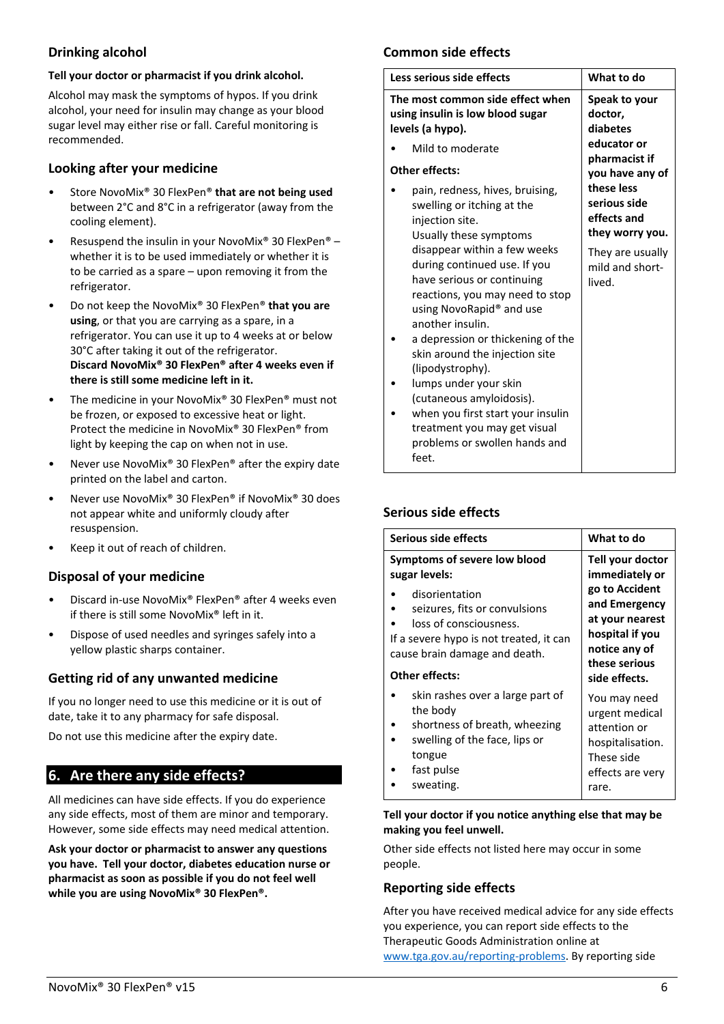# **Drinking alcohol**

#### **Tell your doctor or pharmacist if you drink alcohol.**

Alcohol may mask the symptoms of hypos. If you drink alcohol, your need for insulin may change as your blood sugar level may either rise or fall. Careful monitoring is recommended.

## **Looking after your medicine**

- Store NovoMix® 30 FlexPen® **that are not being used** between 2°C and 8°C in a refrigerator (away from the cooling element).
- Resuspend the insulin in your NovoMix<sup>®</sup> 30 FlexPen<sup>®</sup> whether it is to be used immediately or whether it is to be carried as a spare – upon removing it from the refrigerator.
- Do not keep the NovoMix® 30 FlexPen® **that you are using**, or that you are carrying as a spare, in a refrigerator. You can use it up to 4 weeks at or below 30°C after taking it out of the refrigerator. **Discard NovoMix® 30 FlexPen® after 4 weeks even if there is still some medicine left in it.**
- The medicine in your NovoMix® 30 FlexPen® must not be frozen, or exposed to excessive heat or light. Protect the medicine in NovoMix® 30 FlexPen® from light by keeping the cap on when not in use.
- Never use NovoMix® 30 FlexPen® after the expiry date printed on the label and carton.
- Never use NovoMix® 30 FlexPen® if NovoMix® 30 does not appear white and uniformly cloudy after resuspension.
- Keep it out of reach of children.

# **Disposal of your medicine**

- Discard in-use NovoMix® FlexPen® after 4 weeks even if there is still some NovoMix® left in it.
- Dispose of used needles and syringes safely into a yellow plastic sharps container.

# **Getting rid of any unwanted medicine**

If you no longer need to use this medicine or it is out of date, take it to any pharmacy for safe disposal.

<span id="page-5-0"></span>Do not use this medicine after the expiry date.

# **6. Are there any side effects?**

All medicines can have side effects. If you do experience any side effects, most of them are minor and temporary. However, some side effects may need medical attention.

**Ask your doctor or pharmacist to answer any questions you have. Tell your doctor, diabetes education nurse or pharmacist as soon as possible if you do not feel well while you are using NovoMix® 30 FlexPen®.**

# **Common side effects**

| Less serious side effects                                                                                                                                                                                          | What to do                                                   |
|--------------------------------------------------------------------------------------------------------------------------------------------------------------------------------------------------------------------|--------------------------------------------------------------|
| The most common side effect when<br>using insulin is low blood sugar<br>levels (a hypo).                                                                                                                           | Speak to your<br>doctor,<br>diabetes                         |
| Mild to moderate                                                                                                                                                                                                   | educator or                                                  |
| Other effects:                                                                                                                                                                                                     | pharmacist if<br>you have any of                             |
| pain, redness, hives, bruising,<br>swelling or itching at the<br>injection site.<br>Usually these symptoms                                                                                                         | these less<br>serious side<br>effects and<br>they worry you. |
| disappear within a few weeks<br>during continued use. If you<br>have serious or continuing<br>reactions, you may need to stop<br>using NovoRapid® and use<br>another insulin.<br>a depression or thickening of the | They are usually<br>mild and short-<br>lived.                |
| skin around the injection site<br>(lipodystrophy).                                                                                                                                                                 |                                                              |
| lumps under your skin<br>(cutaneous amyloidosis).                                                                                                                                                                  |                                                              |
| when you first start your insulin<br>treatment you may get visual<br>problems or swollen hands and<br>feet.                                                                                                        |                                                              |

## **Serious side effects**

| Serious side effects                                                                                                                                  | What to do                                                                                                    |
|-------------------------------------------------------------------------------------------------------------------------------------------------------|---------------------------------------------------------------------------------------------------------------|
| Symptoms of severe low blood<br>sugar levels:                                                                                                         | Tell your doctor<br>immediately or                                                                            |
| disorientation<br>seizures, fits or convulsions<br>loss of consciousness.<br>If a severe hypo is not treated, it can<br>cause brain damage and death. | go to Accident<br>and Emergency<br>at your nearest<br>hospital if you<br>notice any of<br>these serious       |
| Other effects:                                                                                                                                        | side effects.                                                                                                 |
| skin rashes over a large part of<br>the body<br>shortness of breath, wheezing<br>swelling of the face, lips or<br>tongue<br>fast pulse<br>sweating.   | You may need<br>urgent medical<br>attention or<br>hospitalisation.<br>These side<br>effects are very<br>rare. |
|                                                                                                                                                       |                                                                                                               |

#### **Tell your doctor if you notice anything else that may be making you feel unwell.**

Other side effects not listed here may occur in some people.

# **Reporting side effects**

After you have received medical advice for any side effects you experience, you can report side effects to the Therapeutic Goods Administration online at [www.tga.gov.au/reporting-problems.](http://www.tga.gov.au/reporting-problems) By reporting side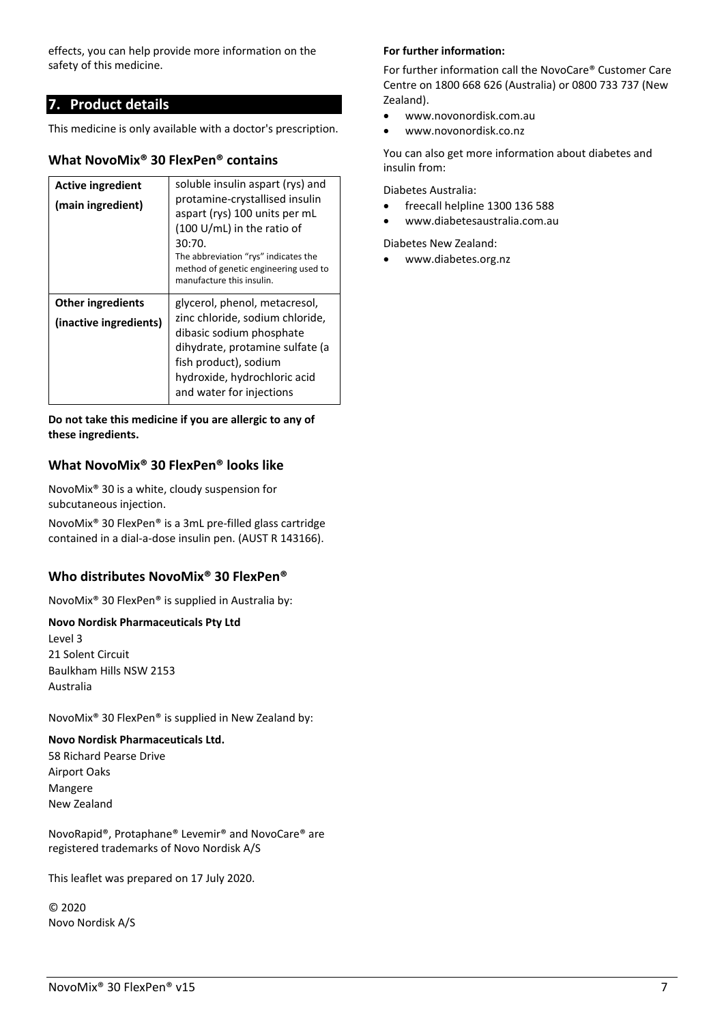effects, you can help provide more information on the safety of this medicine.

# <span id="page-6-0"></span>**7. Product details**

This medicine is only available with a doctor's prescription.

# **What NovoMix® 30 FlexPen® contains**

| <b>Active ingredient</b><br>(main ingredient)      | soluble insulin aspart (rys) and<br>protamine-crystallised insulin<br>aspart (rys) 100 units per mL<br>(100 U/mL) in the ratio of<br>30:70.<br>The abbreviation "rys" indicates the<br>method of genetic engineering used to<br>manufacture this insulin. |
|----------------------------------------------------|-----------------------------------------------------------------------------------------------------------------------------------------------------------------------------------------------------------------------------------------------------------|
| <b>Other ingredients</b><br>(inactive ingredients) | glycerol, phenol, metacresol,<br>zinc chloride, sodium chloride,<br>dibasic sodium phosphate<br>dihydrate, protamine sulfate (a<br>fish product), sodium<br>hydroxide, hydrochloric acid<br>and water for injections                                      |

**Do not take this medicine if you are allergic to any of these ingredients.**

# **What NovoMix® 30 FlexPen® looks like**

NovoMix® 30 is a white, cloudy suspension for subcutaneous injection.

NovoMix® 30 FlexPen® is a 3mL pre-filled glass cartridge contained in a dial-a-dose insulin pen. (AUST R 143166).

# **Who distributes NovoMix® 30 FlexPen®**

NovoMix® 30 FlexPen® is supplied in Australia by:

## **Novo Nordisk Pharmaceuticals Pty Ltd**

Level 3 21 Solent Circuit Baulkham Hills NSW 2153 Australia

NovoMix® 30 FlexPen® is supplied in New Zealand by:

## **Novo Nordisk Pharmaceuticals Ltd.**

58 Richard Pearse Drive Airport Oaks Mangere New Zealand

NovoRapid®, Protaphane® Levemir® and NovoCare® are registered trademarks of Novo Nordisk A/S

This leaflet was prepared on 17 July 2020.

© 2020 Novo Nordisk A/S

## **For further information:**

For further information call the NovoCare® Customer Care Centre on 1800 668 626 (Australia) or 0800 733 737 (New Zealand).

- www.novonordisk.com.au
- www.novonordisk.co.nz

You can also get more information about diabetes and insulin from:

Diabetes Australia:

- freecall helpline 1300 136 588
- www.diabetesaustralia.com.au

Diabetes New Zealand:

• [www.diabetes.org.nz](http://www.diabetes.org.nz/)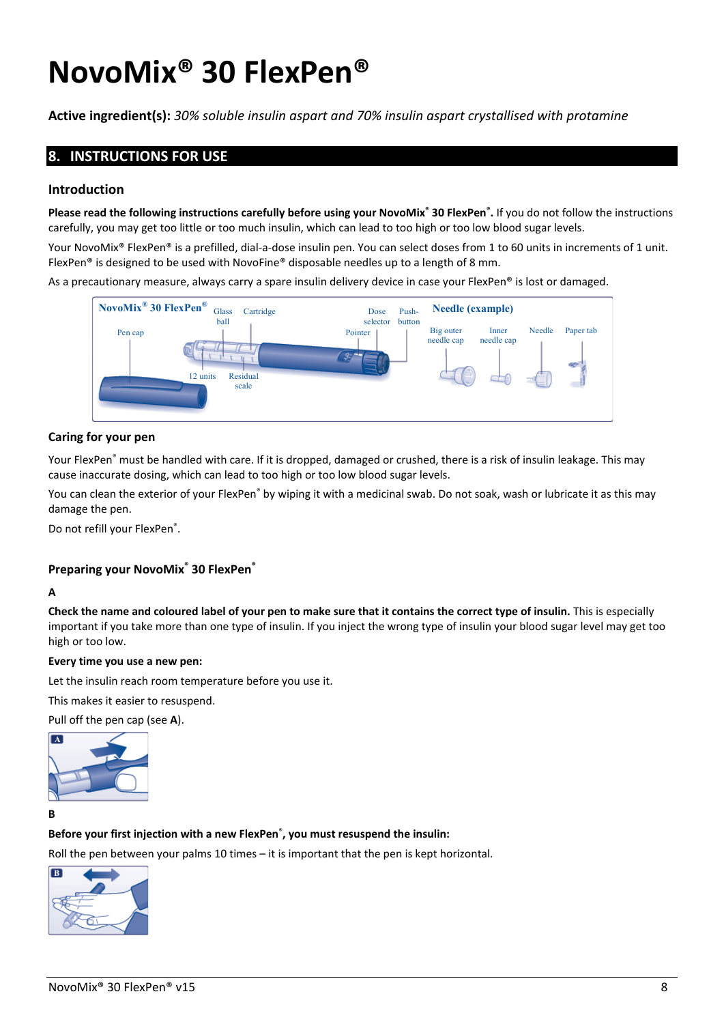# **NovoMix® 30 FlexPen®**

<span id="page-7-0"></span>**Active ingredient(s):** *30% soluble insulin aspart and 70% insulin aspart crystallised with protamine*

# **8. INSTRUCTIONS FOR USE**

## **Introduction**

**Please read the following instructions carefully before using your NovoMix® 30 FlexPen® .** If you do not follow the instructions carefully, you may get too little or too much insulin, which can lead to too high or too low blood sugar levels.

Your NovoMix® FlexPen® is a prefilled, dial-a-dose insulin pen. You can select doses from 1 to 60 units in increments of 1 unit. FlexPen® is designed to be used with NovoFine® disposable needles up to a length of 8 mm.

As a precautionary measure, always carry a spare insulin delivery device in case your FlexPen® is lost or damaged.



## **Caring for your pen**

Your FlexPen<sup>®</sup> must be handled with care. If it is dropped, damaged or crushed, there is a risk of insulin leakage. This may cause inaccurate dosing, which can lead to too high or too low blood sugar levels.

You can clean the exterior of your FlexPen<sup>®</sup> by wiping it with a medicinal swab. Do not soak, wash or lubricate it as this may damage the pen.

Do not refill your FlexPen®.

## **Preparing your NovoMix® 30 FlexPen®**

#### **A**

**Check the name and coloured label of your pen to make sure that it contains the correct type of insulin.** This is especially important if you take more than one type of insulin. If you inject the wrong type of insulin your blood sugar level may get too high or too low.

#### **Every time you use a new pen:**

Let the insulin reach room temperature before you use it.

This makes it easier to resuspend.

Pull off the pen cap (see **A**).



**B** 

#### **Before your first injection with a new FlexPen**® **, you must resuspend the insulin:**

Roll the pen between your palms 10 times – it is important that the pen is kept horizontal.

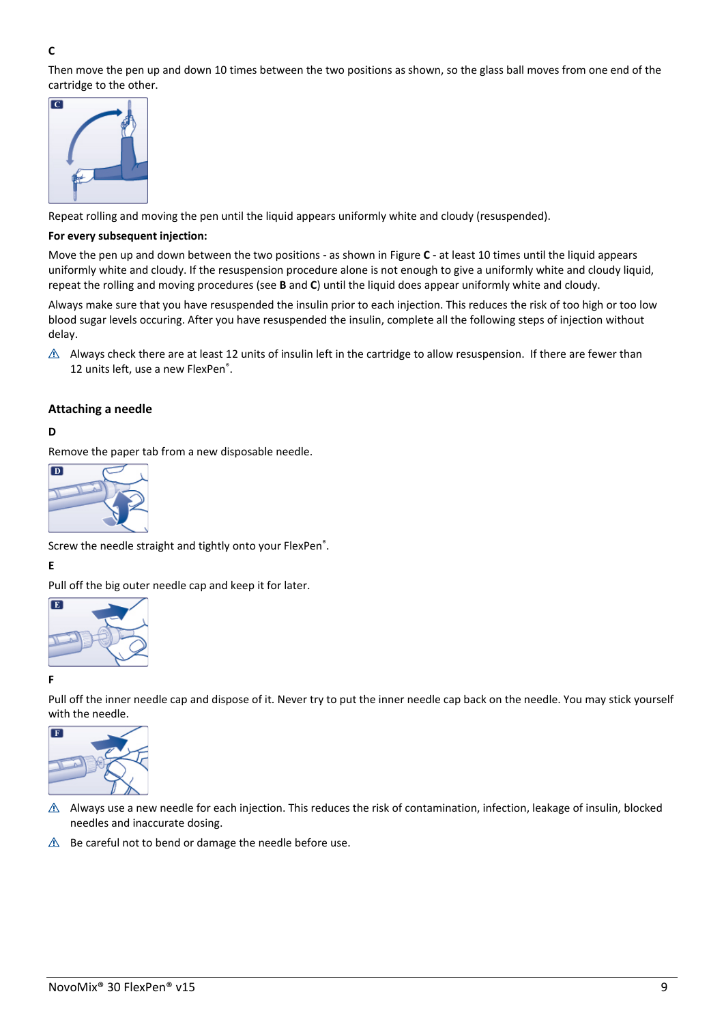## **C**

Then move the pen up and down 10 times between the two positions as shown, so the glass ball moves from one end of the cartridge to the other.



Repeat rolling and moving the pen until the liquid appears uniformly white and cloudy (resuspended).

#### **For every subsequent injection:**

Move the pen up and down between the two positions - as shown in Figure **C** - at least 10 times until the liquid appears uniformly white and cloudy. If the resuspension procedure alone is not enough to give a uniformly white and cloudy liquid, repeat the rolling and moving procedures (see **B** and **C**) until the liquid does appear uniformly white and cloudy.

Always make sure that you have resuspended the insulin prior to each injection. This reduces the risk of too high or too low blood sugar levels occuring. After you have resuspended the insulin, complete all the following steps of injection without delay.

 $\triangle$  Always check there are at least 12 units of insulin left in the cartridge to allow resuspension. If there are fewer than 12 units left, use a new FlexPen®.

#### **Attaching a needle**

#### **D**

Remove the paper tab from a new disposable needle.



Screw the needle straight and tightly onto your FlexPen<sup>®</sup>.

#### **E**

Pull off the big outer needle cap and keep it for later.



#### **F**

Pull off the inner needle cap and dispose of it. Never try to put the inner needle cap back on the needle. You may stick yourself with the needle.



- $\triangle$  Always use a new needle for each injection. This reduces the risk of contamination, infection, leakage of insulin, blocked needles and inaccurate dosing.
- $\triangle$  Be careful not to bend or damage the needle before use.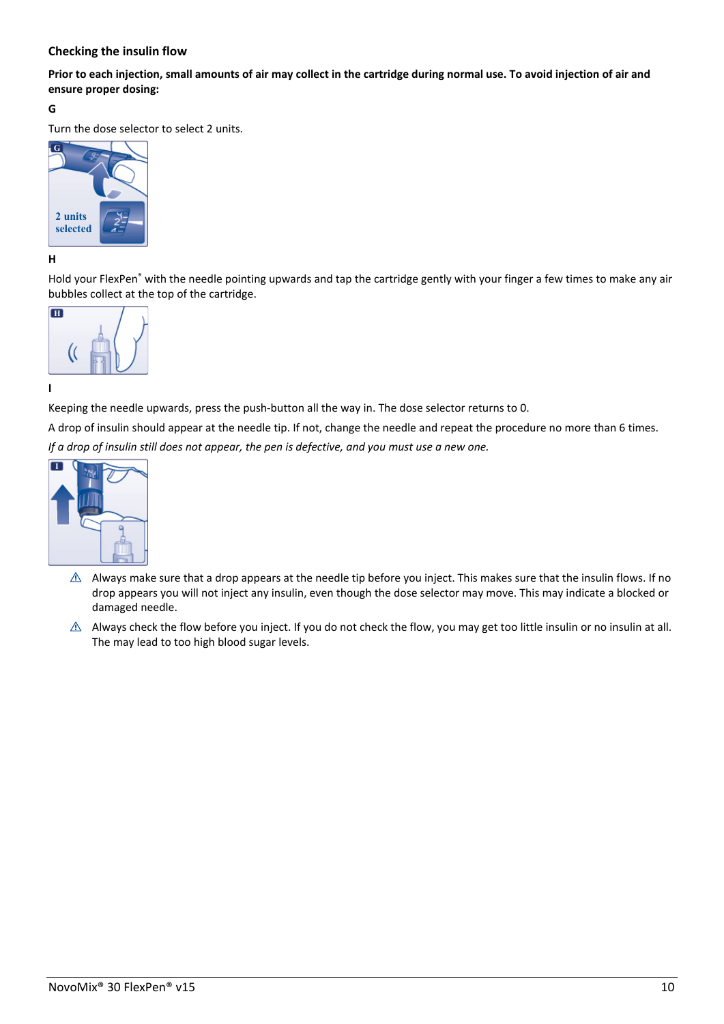## **Checking the insulin flow**

**Prior to each injection, small amounts of air may collect in the cartridge during normal use. To avoid injection of air and ensure proper dosing:**

#### **G**

Turn the dose selector to select 2 units.



**H** 

Hold your FlexPen<sup>®</sup> with the needle pointing upwards and tap the cartridge gently with your finger a few times to make any air bubbles collect at the top of the cartridge.



**I** 

Keeping the needle upwards, press the push-button all the way in. The dose selector returns to 0.

A drop of insulin should appear at the needle tip. If not, change the needle and repeat the procedure no more than 6 times. *If a drop of insulin still does not appear, the pen is defective, and you must use a new one.*



- $\triangle$  Always make sure that a drop appears at the needle tip before you inject. This makes sure that the insulin flows. If no drop appears you will not inject any insulin, even though the dose selector may move. This may indicate a blocked or damaged needle.
- $\triangle$  Always check the flow before you inject. If you do not check the flow, you may get too little insulin or no insulin at all. The may lead to too high blood sugar levels.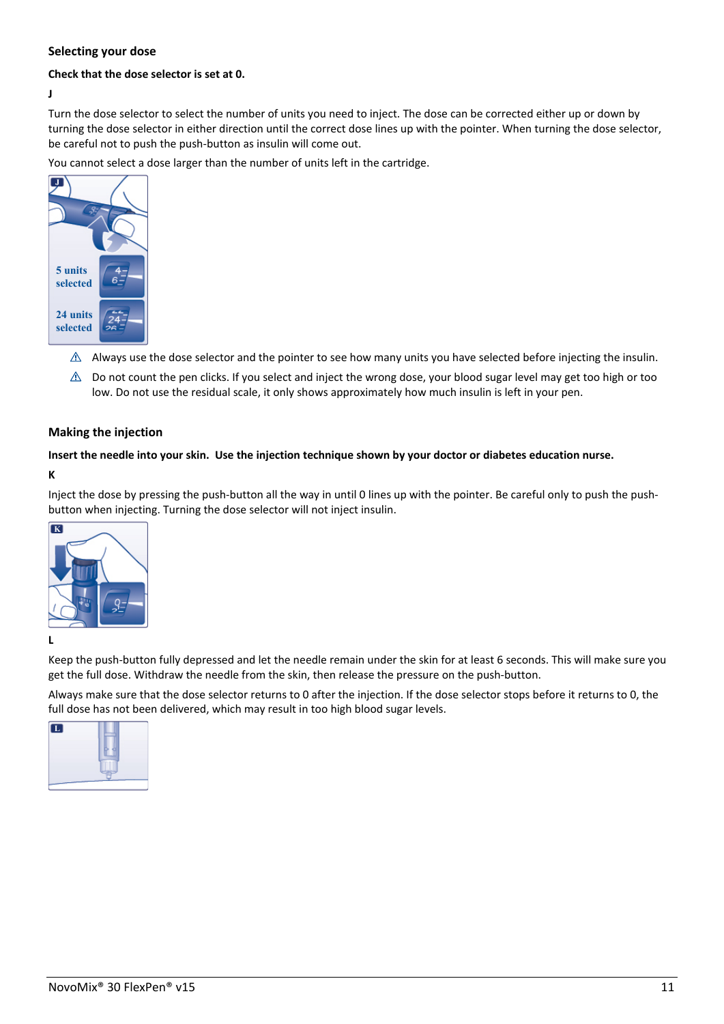## **Selecting your dose**

#### **Check that the dose selector is set at 0.**

**J** 

Turn the dose selector to select the number of units you need to inject. The dose can be corrected either up or down by turning the dose selector in either direction until the correct dose lines up with the pointer. When turning the dose selector, be careful not to push the push-button as insulin will come out.

You cannot select a dose larger than the number of units left in the cartridge.



- $\triangle$  Always use the dose selector and the pointer to see how many units you have selected before injecting the insulin.
- $\triangle$  Do not count the pen clicks. If you select and inject the wrong dose, your blood sugar level may get too high or too low. Do not use the residual scale, it only shows approximately how much insulin is left in your pen.

#### **Making the injection**

#### **Insert the needle into your skin. Use the injection technique shown by your doctor or diabetes education nurse.**

**K** 

Inject the dose by pressing the push-button all the way in until 0 lines up with the pointer. Be careful only to push the pushbutton when injecting. Turning the dose selector will not inject insulin.



#### **L**

Keep the push-button fully depressed and let the needle remain under the skin for at least 6 seconds. This will make sure you get the full dose. Withdraw the needle from the skin, then release the pressure on the push-button.

Always make sure that the dose selector returns to 0 after the injection. If the dose selector stops before it returns to 0, the full dose has not been delivered, which may result in too high blood sugar levels.